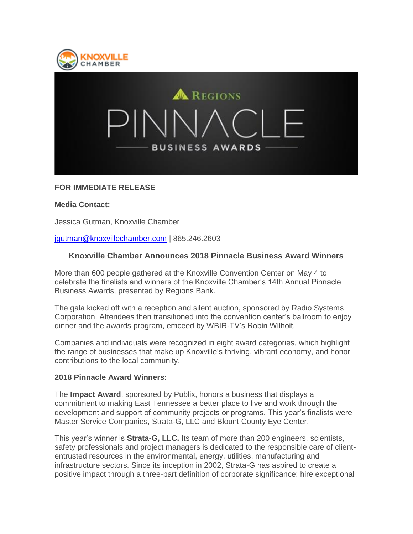



# **FOR IMMEDIATE RELEASE**

### **Media Contact:**

Jessica Gutman, Knoxville Chamber

### [jgutman@knoxvillechamber.com](http://email.knoxvillechamber.com/e1t/c/*W7Pwl_-1jT9L1VCCvLv3LjxQs0/*V3tMJ62Y3VSJW4W-TdV73-Xkn0/5/f18dQhb0Sjv68YHtcbW8kQL4v50RnyCW1TWwPc32xLWLW1FSlSX56qZCNVbxYmW3hpTW5W6P4hPq7Z5kycW3KsZvk6c01KXW6NBLFJ4vgKM1W9994j1954KlMW4P0Yt62d47sCW6Wph8C5KskVpM6bcq3q6jmYW47YlYy4bfcHbW47Xx4z3C810nW1Df0XL6yBPHzW1FjdcM5pfw1SW5mg0gg1CwPhLW2Fq95D22WLyBW6HBHnD6qG734W3ck48J7d9t5wW2dJjjR676__0W76lZyg7tW0v4W78mVvx2bGFqRW1Rb05v7t00GTW29G-T-7HD_c-W7vWbKc7q3sMkW7LRPbN6_6Tx_W1vBRky7XGQ5bW2k-Fsw1YdBnWW6YvvF37rZ7QNN7WBZ1vFk2JCW64TT7Z52slYVW4PxC8j448gk9W2Yqd8l2TwdXGW52Qp0N3BTHGkW7gY6XT30Hpx6W11RGpY9hCshlN5JCXTjc80HKW9fHDMc5d_2dPW5xLG2w6_qT4kW2pglVT6vc-Z6W50Ns4J2NZYLK0) | 865.246.2603

## **Knoxville Chamber Announces 2018 Pinnacle Business Award Winners**

More than 600 people gathered at the Knoxville Convention Center on May 4 to celebrate the finalists and winners of the Knoxville Chamber's 14th Annual Pinnacle Business Awards, presented by Regions Bank.

The gala kicked off with a reception and silent auction, sponsored by Radio Systems Corporation. Attendees then transitioned into the convention center's ballroom to enjoy dinner and the awards program, emceed by WBIR-TV's Robin Wilhoit.

Companies and individuals were recognized in eight award categories, which highlight the range of businesses that make up Knoxville's thriving, vibrant economy, and honor contributions to the local community.

#### **2018 Pinnacle Award Winners:**

The **Impact Award**, sponsored by Publix, honors a business that displays a commitment to making East Tennessee a better place to live and work through the development and support of community projects or programs. This year's finalists were Master Service Companies, Strata-G, LLC and Blount County Eye Center.

This year's winner is **Strata-G, LLC.** Its team of more than 200 engineers, scientists, safety professionals and project managers is dedicated to the responsible care of cliententrusted resources in the environmental, energy, utilities, manufacturing and infrastructure sectors. Since its inception in 2002, Strata-G has aspired to create a positive impact through a three-part definition of corporate significance: hire exceptional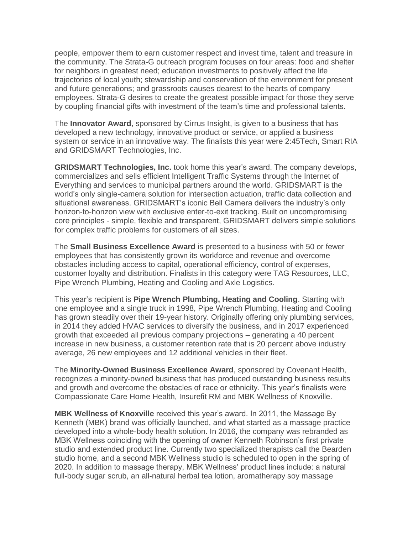people, empower them to earn customer respect and invest time, talent and treasure in the community. The Strata-G outreach program focuses on four areas: food and shelter for neighbors in greatest need; education investments to positively affect the life trajectories of local youth; stewardship and conservation of the environment for present and future generations; and grassroots causes dearest to the hearts of company employees. Strata-G desires to create the greatest possible impact for those they serve by coupling financial gifts with investment of the team's time and professional talents.

The **Innovator Award**, sponsored by Cirrus Insight, is given to a business that has developed a new technology, innovative product or service, or applied a business system or service in an innovative way. The finalists this year were 2:45Tech, Smart RIA and GRIDSMART Technologies, Inc.

**GRIDSMART Technologies, Inc.** took home this year's award. The company develops, commercializes and sells efficient Intelligent Traffic Systems through the Internet of Everything and services to municipal partners around the world. GRIDSMART is the world's only single-camera solution for intersection actuation, traffic data collection and situational awareness. GRIDSMART's iconic Bell Camera delivers the industry's only horizon-to-horizon view with exclusive enter-to-exit tracking. Built on uncompromising core principles - simple, flexible and transparent, GRIDSMART delivers simple solutions for complex traffic problems for customers of all sizes.

The **Small Business Excellence Award** is presented to a business with 50 or fewer employees that has consistently grown its workforce and revenue and overcome obstacles including access to capital, operational efficiency, control of expenses, customer loyalty and distribution. Finalists in this category were TAG Resources, LLC, Pipe Wrench Plumbing, Heating and Cooling and Axle Logistics.

This year's recipient is **Pipe Wrench Plumbing, Heating and Cooling**. Starting with one employee and a single truck in 1998, Pipe Wrench Plumbing, Heating and Cooling has grown steadily over their 19-year history. Originally offering only plumbing services, in 2014 they added HVAC services to diversify the business, and in 2017 experienced growth that exceeded all previous company projections – generating a 40 percent increase in new business, a customer retention rate that is 20 percent above industry average, 26 new employees and 12 additional vehicles in their fleet.

The **Minority-Owned Business Excellence Award**, sponsored by Covenant Health, recognizes a minority-owned business that has produced outstanding business results and growth and overcome the obstacles of race or ethnicity. This year's finalists were Compassionate Care Home Health, Insurefit RM and MBK Wellness of Knoxville.

**MBK Wellness of Knoxville** received this year's award. In 2011, the Massage By Kenneth (MBK) brand was officially launched, and what started as a massage practice developed into a whole-body health solution. In 2016, the company was rebranded as MBK Wellness coinciding with the opening of owner Kenneth Robinson's first private studio and extended product line. Currently two specialized therapists call the Bearden studio home, and a second MBK Wellness studio is scheduled to open in the spring of 2020. In addition to massage therapy, MBK Wellness' product lines include: a natural full-body sugar scrub, an all-natural herbal tea lotion, aromatherapy soy massage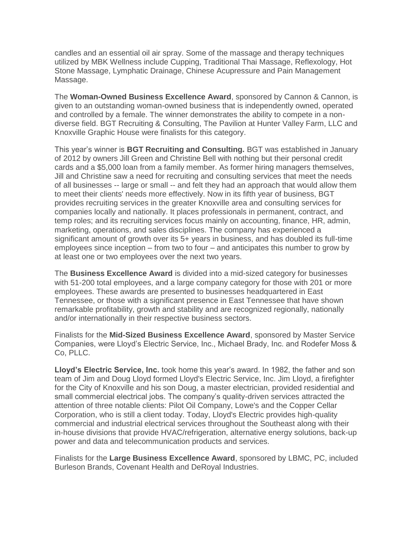candles and an essential oil air spray. Some of the massage and therapy techniques utilized by MBK Wellness include Cupping, Traditional Thai Massage, Reflexology, Hot Stone Massage, Lymphatic Drainage, Chinese Acupressure and Pain Management Massage.

The **Woman-Owned Business Excellence Award**, sponsored by Cannon & Cannon, is given to an outstanding woman-owned business that is independently owned, operated and controlled by a female. The winner demonstrates the ability to compete in a nondiverse field. BGT Recruiting & Consulting, The Pavilion at Hunter Valley Farm, LLC and Knoxville Graphic House were finalists for this category.

This year's winner is **BGT Recruiting and Consulting.** BGT was established in January of 2012 by owners Jill Green and Christine Bell with nothing but their personal credit cards and a \$5,000 loan from a family member. As former hiring managers themselves, Jill and Christine saw a need for recruiting and consulting services that meet the needs of all businesses -- large or small -- and felt they had an approach that would allow them to meet their clients' needs more effectively. Now in its fifth year of business, BGT provides recruiting services in the greater Knoxville area and consulting services for companies locally and nationally. It places professionals in permanent, contract, and temp roles; and its recruiting services focus mainly on accounting, finance, HR, admin, marketing, operations, and sales disciplines. The company has experienced a significant amount of growth over its 5+ years in business, and has doubled its full-time employees since inception – from two to four – and anticipates this number to grow by at least one or two employees over the next two years.

The **Business Excellence Award** is divided into a mid-sized category for businesses with 51-200 total employees, and a large company category for those with 201 or more employees. These awards are presented to businesses headquartered in East Tennessee, or those with a significant presence in East Tennessee that have shown remarkable profitability, growth and stability and are recognized regionally, nationally and/or internationally in their respective business sectors.

Finalists for the **Mid-Sized Business Excellence Award**, sponsored by Master Service Companies, were Lloyd's Electric Service, Inc., Michael Brady, Inc. and Rodefer Moss & Co, PLLC.

**Lloyd's Electric Service, Inc.** took home this year's award. In 1982, the father and son team of Jim and Doug Lloyd formed Lloyd's Electric Service, Inc. Jim Lloyd, a firefighter for the City of Knoxville and his son Doug, a master electrician, provided residential and small commercial electrical jobs. The company's quality-driven services attracted the attention of three notable clients: Pilot Oil Company, Lowe's and the Copper Cellar Corporation, who is still a client today. Today, Lloyd's Electric provides high-quality commercial and industrial electrical services throughout the Southeast along with their in-house divisions that provide HVAC/refrigeration, alternative energy solutions, back-up power and data and telecommunication products and services.

Finalists for the **Large Business Excellence Award**, sponsored by LBMC, PC, included Burleson Brands, Covenant Health and DeRoyal Industries.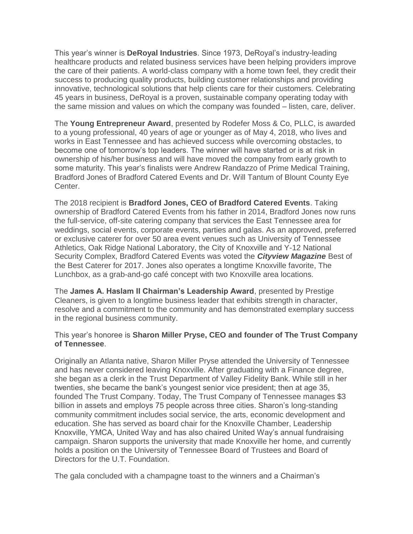This year's winner is **DeRoyal Industries**. Since 1973, DeRoyal's industry-leading healthcare products and related business services have been helping providers improve the care of their patients. A world-class company with a home town feel, they credit their success to producing quality products, building customer relationships and providing innovative, technological solutions that help clients care for their customers. Celebrating 45 years in business, DeRoyal is a proven, sustainable company operating today with the same mission and values on which the company was founded – listen, care, deliver.

The **Young Entrepreneur Award**, presented by Rodefer Moss & Co, PLLC, is awarded to a young professional, 40 years of age or younger as of May 4, 2018, who lives and works in East Tennessee and has achieved success while overcoming obstacles, to become one of tomorrow's top leaders. The winner will have started or is at risk in ownership of his/her business and will have moved the company from early growth to some maturity. This year's finalists were Andrew Randazzo of Prime Medical Training, Bradford Jones of Bradford Catered Events and Dr. Will Tantum of Blount County Eye Center.

The 2018 recipient is **Bradford Jones, CEO of Bradford Catered Events**. Taking ownership of Bradford Catered Events from his father in 2014, Bradford Jones now runs the full-service, off-site catering company that services the East Tennessee area for weddings, social events, corporate events, parties and galas. As an approved, preferred or exclusive caterer for over 50 area event venues such as University of Tennessee Athletics, Oak Ridge National Laboratory, the City of Knoxville and Y-12 National Security Complex, Bradford Catered Events was voted the *Cityview Magazine* Best of the Best Caterer for 2017. Jones also operates a longtime Knoxville favorite, The Lunchbox, as a grab-and-go café concept with two Knoxville area locations.

The **James A. Haslam II Chairman's Leadership Award**, presented by Prestige Cleaners, is given to a longtime business leader that exhibits strength in character, resolve and a commitment to the community and has demonstrated exemplary success in the regional business community.

## This year's honoree is **Sharon Miller Pryse, CEO and founder of The Trust Company of Tennessee**.

Originally an Atlanta native, Sharon Miller Pryse attended the University of Tennessee and has never considered leaving Knoxville. After graduating with a Finance degree, she began as a clerk in the Trust Department of Valley Fidelity Bank. While still in her twenties, she became the bank's youngest senior vice president; then at age 35, founded The Trust Company. Today, The Trust Company of Tennessee manages \$3 billion in assets and employs 75 people across three cities. Sharon's long-standing community commitment includes social service, the arts, economic development and education. She has served as board chair for the Knoxville Chamber, Leadership Knoxville, YMCA, United Way and has also chaired United Way's annual fundraising campaign. Sharon supports the university that made Knoxville her home, and currently holds a position on the University of Tennessee Board of Trustees and Board of Directors for the U.T. Foundation.

The gala concluded with a champagne toast to the winners and a Chairman's